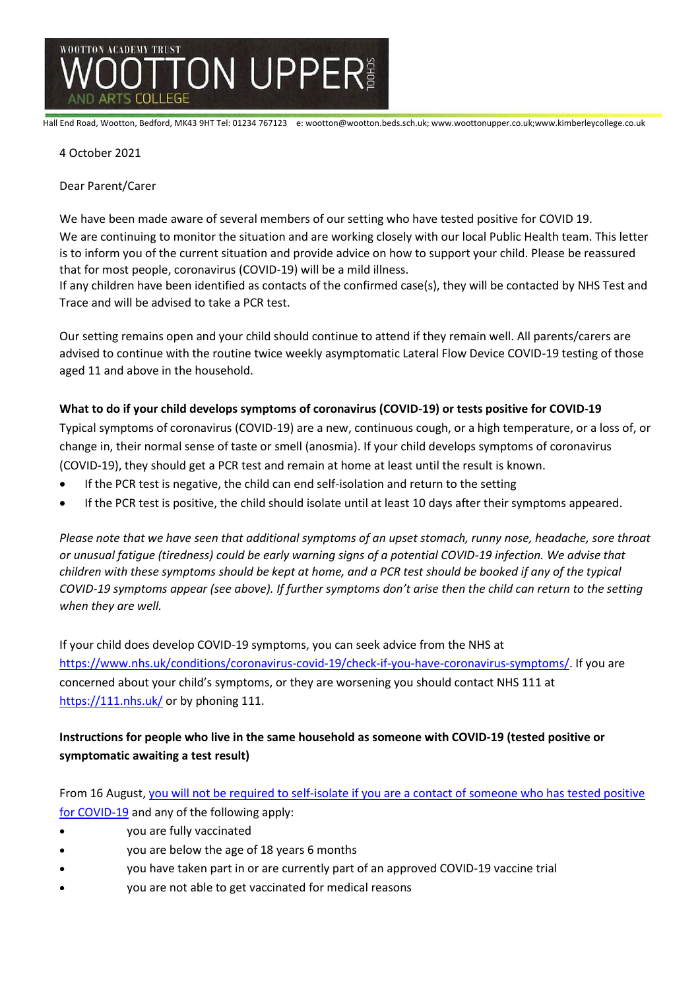

Hall End Road, Wootton, Bedford, MK43 9HT Tel: 01234 767123 e: wootton@wootton.beds.sch.uk; www.woottonupper.co.uk;www.kimberleycollege.co.uk

## 4 October 2021

Dear Parent/Carer

We have been made aware of several members of our setting who have tested positive for COVID 19.

We are continuing to monitor the situation and are working closely with our local Public Health team. This letter is to inform you of the current situation and provide advice on how to support your child. Please be reassured that for most people, coronavirus (COVID-19) will be a mild illness.

If any children have been identified as contacts of the confirmed case(s), they will be contacted by NHS Test and Trace and will be advised to take a PCR test.

Our setting remains open and your child should continue to attend if they remain well. All parents/carers are advised to continue with the routine twice weekly asymptomatic Lateral Flow Device COVID-19 testing of those aged 11 and above in the household.

## **What to do if your child develops symptoms of coronavirus (COVID-19) or tests positive for COVID-19**

Typical symptoms of coronavirus (COVID-19) are a new, continuous cough, or a high temperature, or a loss of, or change in, their normal sense of taste or smell (anosmia). If your child develops symptoms of coronavirus (COVID-19), they should get a PCR test and remain at home at least until the result is known.

- If the PCR test is negative, the child can end self-isolation and return to the setting
- If the PCR test is positive, the child should isolate until at least 10 days after their symptoms appeared.

*Please note that we have seen that additional symptoms of an upset stomach, runny nose, headache, sore throat or unusual fatigue (tiredness) could be early warning signs of a potential COVID-19 infection. We advise that children with these symptoms should be kept at home, and a PCR test should be booked if any of the typical COVID-19 symptoms appear (see above). If further symptoms don't arise then the child can return to the setting when they are well.* 

If your child does develop COVID-19 symptoms, you can seek advice from the NHS at [https://www.nhs.uk/conditions/coronavirus-covid-19/check-if-you-have-coronavirus-symptoms/.](https://www.nhs.uk/conditions/coronavirus-covid-19/check-if-you-have-coronavirus-symptoms/) If you are concerned about your child's symptoms, or they are worsening you should contact NHS 111 at <https://111.nhs.uk/> or by phoning 111.

# **Instructions for people who live in the same household as someone with COVID-19 (tested positive or symptomatic awaiting a test result)**

From 16 August, you will not be required [to self-isolate if you are a contact of someone who has tested positive](https://www.gov.uk/government/publications/covid-19-stay-at-home-guidance/stay-at-home-guidance-for-households-with-possible-coronavirus-covid-19-infection#exempt)  [for COVID-19](https://www.gov.uk/government/publications/covid-19-stay-at-home-guidance/stay-at-home-guidance-for-households-with-possible-coronavirus-covid-19-infection#exempt) and any of the following apply:

- you are fully vaccinated
- you are below the age of 18 years 6 months
- you have taken part in or are currently part of an approved COVID-19 vaccine trial
- you are not able to get vaccinated for medical reasons